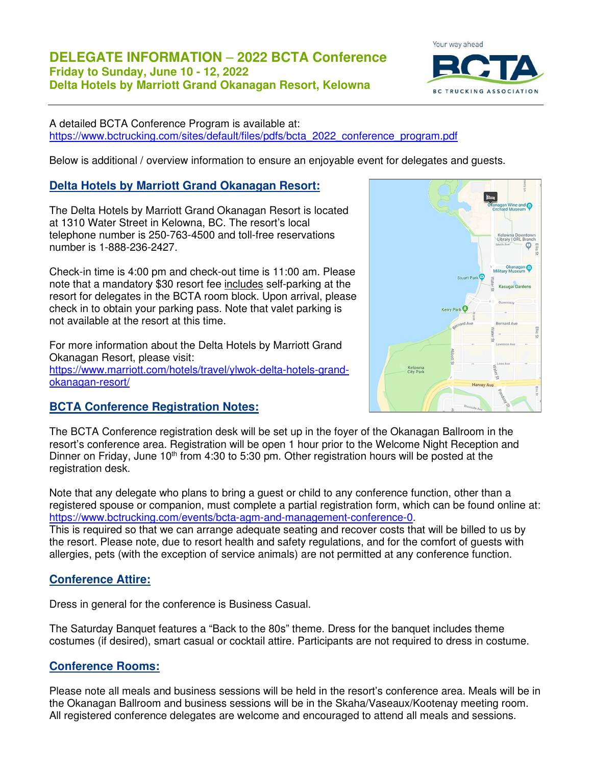

A detailed BCTA Conference Program is available at: https://www.bctrucking.com/sites/default/files/pdfs/bcta\_2022\_conference\_program.pdf

Below is additional / overview information to ensure an enjoyable event for delegates and guests.

# **Delta Hotels by Marriott Grand Okanagan Resort:**

The Delta Hotels by Marriott Grand Okanagan Resort is located at 1310 Water Street in Kelowna, BC. The resort's local telephone number is 250-763-4500 and toll-free reservations number is 1-888-236-2427.

Check-in time is 4:00 pm and check-out time is 11:00 am. Please note that a mandatory \$30 resort fee includes self-parking at the resort for delegates in the BCTA room block. Upon arrival, please check in to obtain your parking pass. Note that valet parking is not available at the resort at this time.

For more information about the Delta Hotels by Marriott Grand Okanagan Resort, please visit: https://www.marriott.com/hotels/travel/ylwok-delta-hotels-grandokanagan-resort/



## **BCTA Conference Registration Notes:**

The BCTA Conference registration desk will be set up in the foyer of the Okanagan Ballroom in the resort's conference area. Registration will be open 1 hour prior to the Welcome Night Reception and Dinner on Friday, June 10<sup>th</sup> from 4:30 to 5:30 pm. Other registration hours will be posted at the registration desk.

Note that any delegate who plans to bring a guest or child to any conference function, other than a registered spouse or companion, must complete a partial registration form, which can be found online at: https://www.bctrucking.com/events/bcta-agm-and-management-conference-0.

This is required so that we can arrange adequate seating and recover costs that will be billed to us by the resort. Please note, due to resort health and safety regulations, and for the comfort of guests with allergies, pets (with the exception of service animals) are not permitted at any conference function.

## **Conference Attire:**

Dress in general for the conference is Business Casual.

The Saturday Banquet features a "Back to the 80s" theme. Dress for the banquet includes theme costumes (if desired), smart casual or cocktail attire. Participants are not required to dress in costume.

# **Conference Rooms:**

Please note all meals and business sessions will be held in the resort's conference area. Meals will be in the Okanagan Ballroom and business sessions will be in the Skaha/Vaseaux/Kootenay meeting room. All registered conference delegates are welcome and encouraged to attend all meals and sessions.